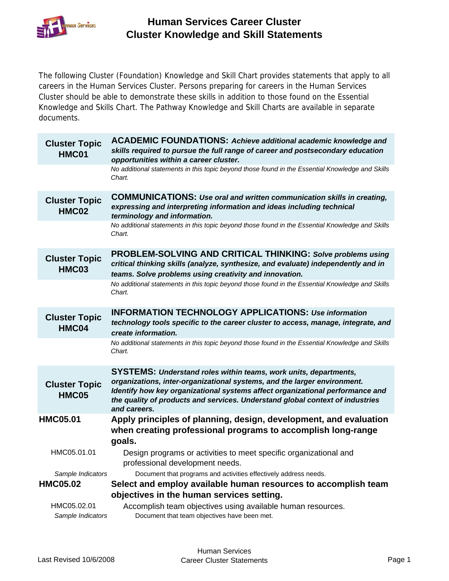

The following Cluster (Foundation) Knowledge and Skill Chart provides statements that apply to all careers in the Human Services Cluster. Persons preparing for careers in the Human Services Cluster should be able to demonstrate these skills in addition to those found on the Essential Knowledge and Skills Chart. The Pathway Knowledge and Skill Charts are available in separate documents.

| <b>Cluster Topic</b><br>HMC01        | <b>ACADEMIC FOUNDATIONS:</b> Achieve additional academic knowledge and<br>skills required to pursue the full range of career and postsecondary education<br>opportunities within a career cluster.                                                                                                                                    |
|--------------------------------------|---------------------------------------------------------------------------------------------------------------------------------------------------------------------------------------------------------------------------------------------------------------------------------------------------------------------------------------|
|                                      | No additional statements in this topic beyond those found in the Essential Knowledge and Skills<br>Chart.                                                                                                                                                                                                                             |
| <b>Cluster Topic</b><br>HMC02        | <b>COMMUNICATIONS: Use oral and written communication skills in creating,</b><br>expressing and interpreting information and ideas including technical<br>terminology and information.                                                                                                                                                |
|                                      | No additional statements in this topic beyond those found in the Essential Knowledge and Skills<br>Chart.                                                                                                                                                                                                                             |
| <b>Cluster Topic</b><br><b>HMC03</b> | PROBLEM-SOLVING AND CRITICAL THINKING: Solve problems using<br>critical thinking skills (analyze, synthesize, and evaluate) independently and in<br>teams. Solve problems using creativity and innovation.                                                                                                                            |
|                                      | No additional statements in this topic beyond those found in the Essential Knowledge and Skills<br>Chart.                                                                                                                                                                                                                             |
| <b>Cluster Topic</b><br>HMC04        | <b>INFORMATION TECHNOLOGY APPLICATIONS: Use information</b><br>technology tools specific to the career cluster to access, manage, integrate, and<br>create information.                                                                                                                                                               |
|                                      | No additional statements in this topic beyond those found in the Essential Knowledge and Skills<br>Chart.                                                                                                                                                                                                                             |
| <b>Cluster Topic</b><br>HMC05        | <b>SYSTEMS: Understand roles within teams, work units, departments,</b><br>organizations, inter-organizational systems, and the larger environment.<br>Identify how key organizational systems affect organizational performance and<br>the quality of products and services. Understand global context of industries<br>and careers. |
| <b>HMC05.01</b>                      | Apply principles of planning, design, development, and evaluation<br>when creating professional programs to accomplish long-range<br>goals.                                                                                                                                                                                           |
| HMC05.01.01                          | Design programs or activities to meet specific organizational and<br>professional development needs.                                                                                                                                                                                                                                  |
| Sample Indicators                    | Document that programs and activities effectively address needs.                                                                                                                                                                                                                                                                      |
| <b>HMC05.02</b>                      | Select and employ available human resources to accomplish team                                                                                                                                                                                                                                                                        |
|                                      | objectives in the human services setting.                                                                                                                                                                                                                                                                                             |
| HMC05.02.01<br>Sample Indicators     | Accomplish team objectives using available human resources.<br>Document that team objectives have been met.                                                                                                                                                                                                                           |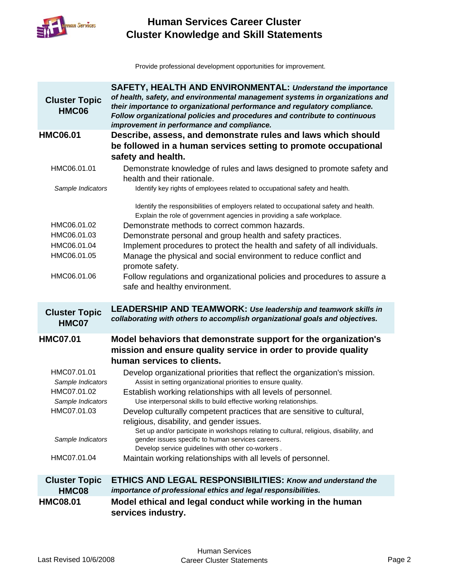

Provide professional development opportunities for improvement.

| <b>Cluster Topic</b><br><b>HMC06</b>                     | <b>SAFETY, HEALTH AND ENVIRONMENTAL: Understand the importance</b><br>of health, safety, and environmental management systems in organizations and<br>their importance to organizational performance and regulatory compliance.<br>Follow organizational policies and procedures and contribute to continuous<br>improvement in performance and compliance.                                                                        |
|----------------------------------------------------------|------------------------------------------------------------------------------------------------------------------------------------------------------------------------------------------------------------------------------------------------------------------------------------------------------------------------------------------------------------------------------------------------------------------------------------|
| <b>HMC06.01</b>                                          | Describe, assess, and demonstrate rules and laws which should                                                                                                                                                                                                                                                                                                                                                                      |
|                                                          | be followed in a human services setting to promote occupational                                                                                                                                                                                                                                                                                                                                                                    |
|                                                          | safety and health.                                                                                                                                                                                                                                                                                                                                                                                                                 |
| HMC06.01.01                                              | Demonstrate knowledge of rules and laws designed to promote safety and<br>health and their rationale.                                                                                                                                                                                                                                                                                                                              |
| Sample Indicators                                        | Identify key rights of employees related to occupational safety and health.                                                                                                                                                                                                                                                                                                                                                        |
| HMC06.01.02<br>HMC06.01.03<br>HMC06.01.04<br>HMC06.01.05 | Identify the responsibilities of employers related to occupational safety and health.<br>Explain the role of government agencies in providing a safe workplace.<br>Demonstrate methods to correct common hazards.<br>Demonstrate personal and group health and safety practices.<br>Implement procedures to protect the health and safety of all individuals.<br>Manage the physical and social environment to reduce conflict and |
| HMC06.01.06                                              | promote safety.<br>Follow regulations and organizational policies and procedures to assure a<br>safe and healthy environment.                                                                                                                                                                                                                                                                                                      |
| <b>Cluster Topic</b><br>HMC07                            | <b>LEADERSHIP AND TEAMWORK: Use leadership and teamwork skills in</b><br>collaborating with others to accomplish organizational goals and objectives.                                                                                                                                                                                                                                                                              |
| <b>HMC07.01</b>                                          | Model behaviors that demonstrate support for the organization's                                                                                                                                                                                                                                                                                                                                                                    |
|                                                          | mission and ensure quality service in order to provide quality                                                                                                                                                                                                                                                                                                                                                                     |
|                                                          |                                                                                                                                                                                                                                                                                                                                                                                                                                    |
|                                                          | human services to clients.                                                                                                                                                                                                                                                                                                                                                                                                         |
| HMC07.01.01                                              | Develop organizational priorities that reflect the organization's mission.                                                                                                                                                                                                                                                                                                                                                         |
| Sample Indicators                                        | Assist in setting organizational priorities to ensure quality.                                                                                                                                                                                                                                                                                                                                                                     |
| HMC07.01.02                                              | Establish working relationships with all levels of personnel.                                                                                                                                                                                                                                                                                                                                                                      |
| Sample Indicators                                        | Use interpersonal skills to build effective working relationships.                                                                                                                                                                                                                                                                                                                                                                 |
| HMC07.01.03                                              | Develop culturally competent practices that are sensitive to cultural,<br>religious, disability, and gender issues.                                                                                                                                                                                                                                                                                                                |
| Sample Indicators                                        | Set up and/or participate in workshops relating to cultural, religious, disability, and<br>gender issues specific to human services careers.                                                                                                                                                                                                                                                                                       |
| HMC07.01.04                                              | Develop service guidelines with other co-workers.<br>Maintain working relationships with all levels of personnel.                                                                                                                                                                                                                                                                                                                  |
| <b>Cluster Topic</b>                                     | <b>ETHICS AND LEGAL RESPONSIBILITIES: Know and understand the</b>                                                                                                                                                                                                                                                                                                                                                                  |
| <b>HMC08</b><br><b>HMC08.01</b>                          | importance of professional ethics and legal responsibilities.<br>Model ethical and legal conduct while working in the human                                                                                                                                                                                                                                                                                                        |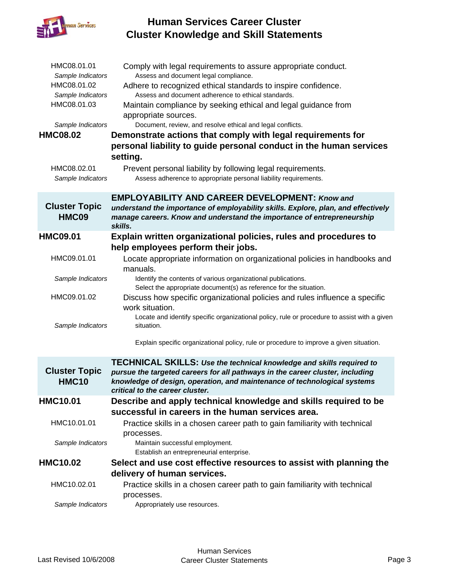

| HMC08.01.01<br>Sample Indicators<br>HMC08.01.02<br>Sample Indicators<br>HMC08.01.03<br>Sample Indicators<br><b>HMC08.02</b> | Comply with legal requirements to assure appropriate conduct.<br>Assess and document legal compliance.<br>Adhere to recognized ethical standards to inspire confidence.<br>Assess and document adherence to ethical standards.<br>Maintain compliance by seeking ethical and legal guidance from<br>appropriate sources.<br>Document, review, and resolve ethical and legal conflicts.<br>Demonstrate actions that comply with legal requirements for<br>personal liability to guide personal conduct in the human services<br>setting. |
|-----------------------------------------------------------------------------------------------------------------------------|-----------------------------------------------------------------------------------------------------------------------------------------------------------------------------------------------------------------------------------------------------------------------------------------------------------------------------------------------------------------------------------------------------------------------------------------------------------------------------------------------------------------------------------------|
| HMC08.02.01<br>Sample Indicators                                                                                            | Prevent personal liability by following legal requirements.<br>Assess adherence to appropriate personal liability requirements.                                                                                                                                                                                                                                                                                                                                                                                                         |
| <b>Cluster Topic</b><br>HMC09                                                                                               | <b>EMPLOYABILITY AND CAREER DEVELOPMENT: Know and</b><br>understand the importance of employability skills. Explore, plan, and effectively<br>manage careers. Know and understand the importance of entrepreneurship<br>skills.                                                                                                                                                                                                                                                                                                         |
| <b>HMC09.01</b>                                                                                                             | Explain written organizational policies, rules and procedures to<br>help employees perform their jobs.                                                                                                                                                                                                                                                                                                                                                                                                                                  |
| HMC09.01.01                                                                                                                 | Locate appropriate information on organizational policies in handbooks and<br>manuals.                                                                                                                                                                                                                                                                                                                                                                                                                                                  |
| Sample Indicators                                                                                                           | Identify the contents of various organizational publications.<br>Select the appropriate document(s) as reference for the situation.                                                                                                                                                                                                                                                                                                                                                                                                     |
| HMC09.01.02                                                                                                                 | Discuss how specific organizational policies and rules influence a specific<br>work situation.<br>Locate and identify specific organizational policy, rule or procedure to assist with a given                                                                                                                                                                                                                                                                                                                                          |
| Sample Indicators                                                                                                           | situation.<br>Explain specific organizational policy, rule or procedure to improve a given situation.                                                                                                                                                                                                                                                                                                                                                                                                                                   |
| <b>Cluster Topic</b><br><b>HMC10</b>                                                                                        | TECHNICAL SKILLS: Use the technical knowledge and skills required to<br>pursue the targeted careers for all pathways in the career cluster, including<br>knowledge of design, operation, and maintenance of technological systems<br>critical to the career cluster.                                                                                                                                                                                                                                                                    |
| <b>HMC10.01</b>                                                                                                             | Describe and apply technical knowledge and skills required to be                                                                                                                                                                                                                                                                                                                                                                                                                                                                        |
| HMC10.01.01                                                                                                                 | successful in careers in the human services area.<br>Practice skills in a chosen career path to gain familiarity with technical<br>processes.                                                                                                                                                                                                                                                                                                                                                                                           |
| Sample Indicators                                                                                                           | Maintain successful employment.<br>Establish an entrepreneurial enterprise.                                                                                                                                                                                                                                                                                                                                                                                                                                                             |
| <b>HMC10.02</b>                                                                                                             | Select and use cost effective resources to assist with planning the                                                                                                                                                                                                                                                                                                                                                                                                                                                                     |
|                                                                                                                             | delivery of human services.                                                                                                                                                                                                                                                                                                                                                                                                                                                                                                             |
| HMC10.02.01                                                                                                                 | Practice skills in a chosen career path to gain familiarity with technical<br>processes.                                                                                                                                                                                                                                                                                                                                                                                                                                                |
| Sample Indicators                                                                                                           | Appropriately use resources.                                                                                                                                                                                                                                                                                                                                                                                                                                                                                                            |